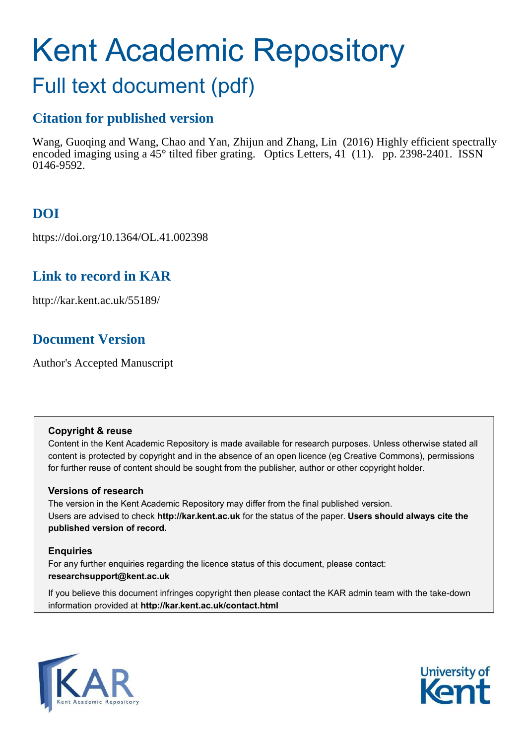# Kent Academic Repository

# Full text document (pdf)

## **Citation for published version**

Wang, Guoqing and Wang, Chao and Yan, Zhijun and Zhang, Lin (2016) Highly efficient spectrally encoded imaging using a 45° tilted fiber grating. Optics Letters, 41 (11). pp. 2398-2401. ISSN 0146-9592.

## **DOI**

https://doi.org/10.1364/OL.41.002398

## **Link to record in KAR**

http://kar.kent.ac.uk/55189/

## **Document Version**

Author's Accepted Manuscript

#### **Copyright & reuse**

Content in the Kent Academic Repository is made available for research purposes. Unless otherwise stated all content is protected by copyright and in the absence of an open licence (eg Creative Commons), permissions for further reuse of content should be sought from the publisher, author or other copyright holder.

#### **Versions of research**

The version in the Kent Academic Repository may differ from the final published version. Users are advised to check **http://kar.kent.ac.uk** for the status of the paper. **Users should always cite the published version of record.**

#### **Enquiries**

For any further enquiries regarding the licence status of this document, please contact: **researchsupport@kent.ac.uk**

If you believe this document infringes copyright then please contact the KAR admin team with the take-down information provided at **http://kar.kent.ac.uk/contact.html**



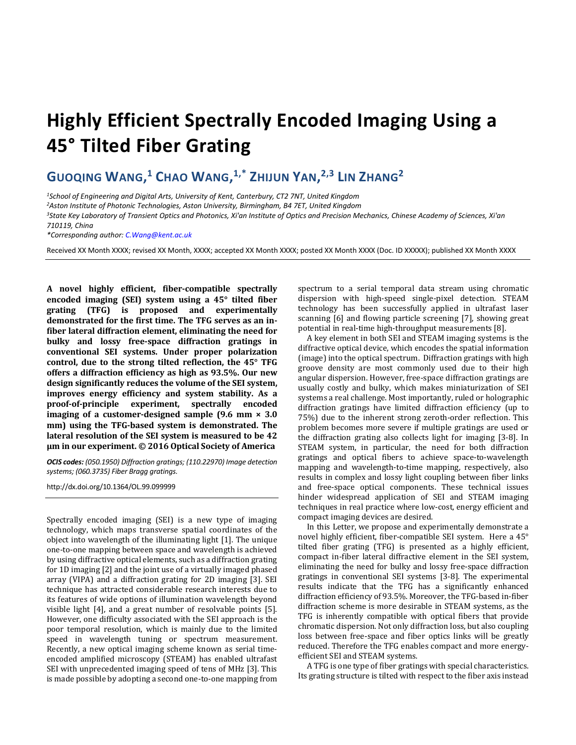## **Highly Efficient Spectrally Encoded Imaging Using a 45° Tilted Fiber Grating**

### **GUOQING WANG, <sup>1</sup> CHAO WANG, 1,\* ZHIJUN YAN, 2,3 LIN ZHANG<sup>2</sup>**

*<sup>1</sup>School of Engineering and Digital Arts, University of Kent, Canterbury, CT2 7NT, United Kingdom*

*<sup>2</sup>Aston Institute of Photonic Technologies, Aston University, Birmingham, B4 7ET, United Kingdom*

*<sup>3</sup>State Key Laboratory of Transient Optics and Photonics, Xi'an Institute of Optics and Precision Mechanics, Chinese Academy of Sciences, Xi'an 710119, China*

*\*Corresponding author[: C.Wang@kent.ac.uk](mailto:C.Wang@kent.ac.uk)*

Received XX Month XXXX; revised XX Month, XXXX; accepted XX Month XXXX; posted XX Month XXXX (Doc. ID XXXXX); published XX Month XXXX

**A novel highly efficient, fiber-compatible spectrally encoded imaging (SEI) system using a 45° tilted fiber grating (TFG) is proposed and experimentally demonstrated for the first time. The TFG serves as an infiber lateral diffraction element, eliminating the need for bulky and lossy free-space diffraction gratings in conventional SEI systems. Under proper polarization control, due to the strong tilted reflection, the 45° TFG offers a diffraction efficiency as high as 93.5%. Our new design significantly reduces the volume of the SEI system, improves energy efficiency and system stability. As a proof-of-principle experiment, spectrally encoded imaging of a customer-designed sample (9.6 mm × 3.0 mm) using the TFG-based system is demonstrated. The lateral resolution of the SEI system is measured to be 42 づm in our experiment┻ © 2016 Optical Society of America**

*OCIS codes: (050.1950) Diffraction gratings; (110.22970) Image detection systems; (060.3735) Fiber Bragg gratings.* 

http://dx.doi.org/10.1364/OL.99.099999

Spectrally encoded imaging (SEI) is a new type of imaging technology, which maps transverse spatial coordinates of the object into wavelength of the illuminating light [1]. The unique one-to-one mapping between space and wavelength is achieved by using diffractive optical elements, such as a diffraction grating for 1D imaging [2] and the joint use of a virtually imaged phased array (VIPA) and a diffraction grating for 2D imaging [3]. SEI technique has attracted considerable research interests due to its features of wide options of illumination wavelength beyond visible light [4], and a great number of resolvable points [5]. However, one difficulty associated with the SEI approach is the poor temporal resolution, which is mainly due to the limited speed in wavelength tuning or spectrum measurement. Recently, a new optical imaging scheme known as serial timeencoded amplified microscopy (STEAM) has enabled ultrafast SEI with unprecedented imaging speed of tens of MHz [3]. This is made possible by adopting a second one-to-one mapping from spectrum to a serial temporal data stream using chromatic dispersion with high-speed single-pixel detection. STEAM technology has been successfully applied in ultrafast laser scanning [6] and flowing particle screening [7], showing great potential in real-time high-throughput measurements [8].

A key element in both SEI and STEAM imaging systems is the diffractive optical device, which encodes the spatial information (image) into the optical spectrum. Diffraction gratings with high groove density are most commonly used due to their high angular dispersion. However, free-space diffraction gratings are usually costly and bulky, which makes miniaturization of SEI systems a real challenge. Most importantly, ruled or holographic diffraction gratings have limited diffraction efficiency (up to 75%) due to the inherent strong zeroth-order reflection. This problem becomes more severe if multiple gratings are used or the diffraction grating also collects light for imaging [3-8]. In STEAM system, in particular, the need for both diffraction gratings and optical fibers to achieve space-to-wavelength mapping and wavelength-to-time mapping, respectively, also results in complex and lossy light coupling between fiber links and free-space optical components. These technical issues hinder widespread application of SEI and STEAM imaging techniques in real practice where low-cost, energy efficient and compact imaging devices are desired.

In this Letter, we propose and experimentally demonstrate a novel highly efficient, fiber-compatible SEI system. Here a 45° tilted fiber grating (TFG) is presented as a highly efficient, compact in-fiber lateral diffractive element in the SEI system, eliminating the need for bulky and lossy free-space diffraction gratings in conventional SEI systems [3-8]. The experimental results indicate that the TFG has a significantly enhanced diffraction efficiency of 93.5%. Moreover, the TFG-based in-fiber diffraction scheme is more desirable in STEAM systems, as the TFG is inherently compatible with optical fibers that provide chromatic dispersion. Not only diffraction loss, but also coupling loss between free-space and fiber optics links will be greatly reduced. Therefore the TFG enables compact and more energyefficient SEI and STEAM systems.

A TFG is one type of fiber gratings with special characteristics. Its grating structure is tilted with respect to the fiber axis instead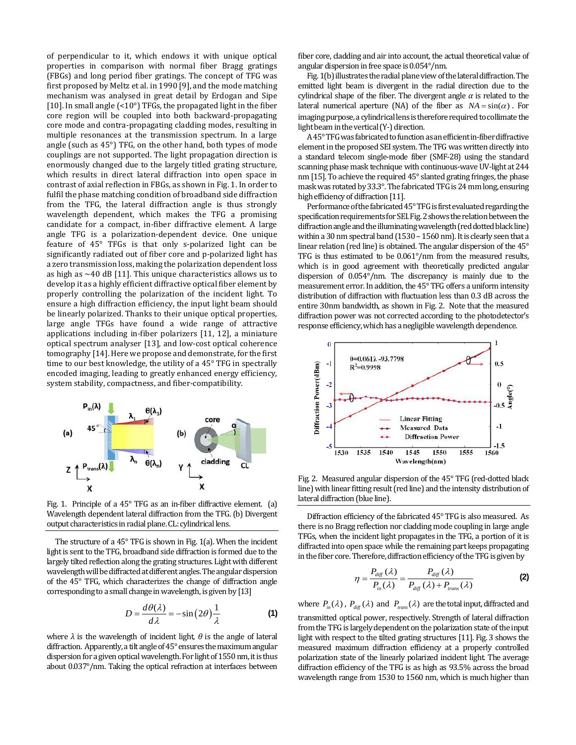of perpendicular to it, which endows it with unique optical properties in comparison with normal fiber Bragg gratings (FBGs) and long period fiber gratings. The concept of TFG was first proposed by Meltz et al. in 1990 [9], and the mode matching mechanism was analysed in great detail by Erdogan and Sipe [10]. In small angle (<10°) TFGs, the propagated light in the fiber core region will be coupled into both backward-propagating core mode and contra-propagating cladding modes, resulting in multiple resonances at the transmission spectrum. In a large angle (such as 45°) TFG, on the other hand, both types of mode couplings are not supported. The light propagation direction is enormously changed due to the largely titled grating structure, which results in direct lateral diffraction into open space in contrast of axial reflection in FBGs, as shown in Fig. 1. In order to fulfil the phase matching condition of broadband side diffraction from the TFG, the lateral diffraction angle is thus strongly wavelength dependent, which makes the TFG a promising candidate for a compact, in-fiber diffractive element. A large angle TFG is a polarization-dependent device. One unique feature of 45° TFGs is that only s-polarized light can be significantly radiated out of fiber core and p-polarized light has a zero transmission loss, making the polarization dependent loss as high as  $\sim$  40 dB [11]. This unique characteristics allows us to develop it as a highly efficient diffractive optical fiber element by properly controlling the polarization of the incident light. To ensure a high diffraction efficiency, the input light beam should be linearly polarized. Thanks to their unique optical properties, large angle TFGs have found a wide range of attractive applications including in-fiber polarizers [11, 12], a miniature optical spectrum analyser [13], and low-cost optical coherence tomography [14]. Here we propose and demonstrate, for the first time to our best knowledge, the utility of a 45° TFG in spectrally encoded imaging, leading to greatly enhanced energy efficiency, system stability, compactness, and fiber-compatibility.



Fig. 1. Principle of a 45° TFG as an in-fiber diffractive element. (a) Wavelength dependent lateral diffraction from the TFG. (b) Divergent output characteristics in radial plane. CL: cylindrical lens.

The structure of a 45° TFG is shown in Fig. 1(a). When the incident light is sent to the TFG, broadband side diffraction is formed due to the largely tilted reflection along the grating structures. Light with different wavelength will be diffracted at different angles. The angular dispersion of the 45° TFG, which characterizes the change of diffraction angle corresponding to a small change in wavelength, is given by [13]

$$
D = \frac{d\theta(\lambda)}{d\lambda} = -\sin(2\theta)\frac{1}{\lambda}
$$
 (1)

where  $\lambda$  is the wavelength of incident light,  $\theta$  is the angle of lateral diffraction. Apparently, atilt angle of 45° ensures the maximum angular dispersion for a given optical wavelength. For light of 1550 nm, it is thus about 0.037°/nm. Taking the optical refraction at interfaces between fiber core, cladding and air into account, the actual theoretical value of angular dispersion in free space is 0.054°/nm.

Fig. 1(b) illustrates the radial plane view of the lateral diffraction. The emitted light beam is divergent in the radial direction due to the cylindrical shape of the fiber. The divergent angle  $\alpha$  is related to the lateral numerical aperture (NA) of the fiber as  $NA = sin(\alpha)$ . For imaging purpose, a cylindrical lens is therefore required to collimate the light beamin the vertical (Y-) direction.

A 45° TFG was fabricated to function as an efficient in-fiber diffractive element in the proposed SEI system. The TFG was written directly into a standard telecom single-mode fiber (SMF-28) using the standard scanning phase mask technique with continuous-wave UV-light at 244 nm [15]. To achieve the required 45° slanted grating fringes, the phase mask was rotated by 33.3°. The fabricated TFG is 24mm long, ensuring high efficiency of diffraction [11].

Performance of the fabricated 45° TFG is first evaluated regarding the specification requirements for SEI. Fig. 2 shows the relation between the diffraction angle and the illuminating wavelength (red dotted black line) within a 30 nm spectral band (1530 – 1560 nm). It is clearly seen that a linear relation (red line) is obtained. The angular dispersion of the 45° TFG is thus estimated to be 0.061°/nm from the measured results, which is in good agreement with theoretically predicted angular dispersion of 0.054°/nm. The discrepancy is mainly due to the measurement error.In addition, the 45° TFG offers a uniform intensity distribution of diffraction with fluctuation less than 0.3 dB across the entire 30nm bandwidth, as shown in Fig. 2. Note that the measured diffraction power was not corrected according to the photodetector's response efficiency, which has a negligible wavelength dependence.



Fig. 2. Measured angular dispersion of the 45° TFG (red-dotted black line) with linear fitting result (red line) and the intensity distribution of lateral diffraction (blue line).

Diffraction efficiency of the fabricated 45° TFG is also measured. As there is no Bragg reflection nor cladding mode coupling in large angle TFGs, when the incident light propagates in the TFG, a portion of it is diffracted into open space while the remaining part keeps propagating in the fiber core. Therefore, diffraction efficiency of the TFG is given by

$$
\eta = \frac{P_{diff}(\lambda)}{P_{in}(\lambda)} = \frac{P_{diff}(\lambda)}{P_{diff}(\lambda) + P_{trans}(\lambda)}
$$
(2)

where  $P_{in}(\lambda)$ ,  $P_{diff}(\lambda)$  and  $P_{trans}(\lambda)$  are the total input, diffracted and transmitted optical power, respectively. Strength of lateral diffraction from the TFG is largely dependent on the polarization state of the input light with respect to the tilted grating structures [11]. Fig. 3 shows the measured maximum diffraction efficiency at a properly controlled polarization state of the linearly polarized incident light. The average diffraction efficiency of the TFG is as high as 93.5% across the broad wavelength range from 1530 to 1560 nm, which is much higher than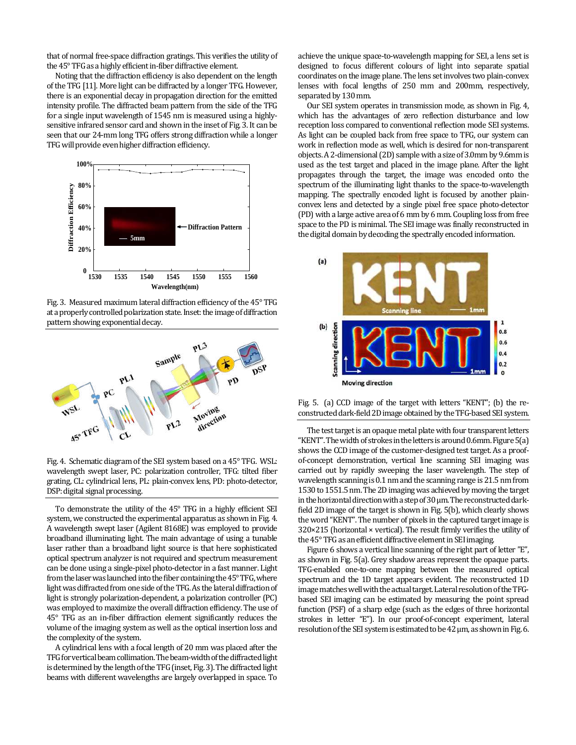that of normal free-space diffraction gratings. This verifies the utility of the 45° TFG as a highly efficient in-fiber diffractive element.

Noting that the diffraction efficiency is also dependent on the length of the TFG [11]. More light can be diffracted by a longer TFG. However, there is an exponential decay in propagation direction for the emitted intensity profile. The diffracted beam pattern from the side of the TFG for a single input wavelength of 1545 nm is measured using a highlysensitive infrared sensor card and shown in the inset of Fig. 3. It can be seen that our 24-mm long TFG offers strong diffraction while a longer TFG will provide even higher diffraction efficiency.



Fig. 3. Measured maximum lateral diffraction efficiency of the 45° TFG at a properly controlled polarization state. Inset: the image of diffraction pattern showing exponential decay.



Fig. 4. Schematic diagram of the SEI system based on a 45° TFG. WSL: wavelength swept laser, PC: polarization controller, TFG: tilted fiber grating, CL: cylindrical lens, PL: plain-convex lens, PD: photo-detector, DSP: digital signal processing.

To demonstrate the utility of the 45° TFG in a highly efficient SEI system, we constructed the experimental apparatus as shown in Fig. 4. A wavelength swept laser (Agilent 8168E) was employed to provide broadband illuminating light. The main advantage of using a tunable laser rather than a broadband light source is that here sophisticated optical spectrum analyzer is not required and spectrum measurement can be done using a single-pixel photo-detector in a fast manner. Light from the laser was launched into the fiber containing the 45° TFG, where light was diffracted from one side of the TFG. As the lateral diffraction of light is strongly polarization-dependent, a polarization controller (PC) was employed to maximize the overall diffraction efficiency. The use of 45° TFG as an in-fiber diffraction element significantly reduces the volume of the imaging system as well as the optical insertion loss and the complexity of the system.

A cylindrical lens with a focal length of 20 mm was placed after the TFG for vertical beam collimation. The beam-widthof the diffracted light is determined by the length of the TFG(inset, Fig. 3). The diffracted light beams with different wavelengths are largely overlapped in space. To achieve the unique space-to-wavelength mapping for SEI, a lens set is designed to focus different colours of light into separate spatial coordinates on the image plane. The lens set involves two plain-convex lenses with focal lengths of 250 mm and 200mm, respectively, separated by 130 mm.

Our SEI system operates in transmission mode, as shown in Fig. 4, which has the advantages of zero reflection disturbance and low reception loss compared to conventional reflection mode SEI systems. As light can be coupled back from free space to TFG, our system can work in reflection mode as well, which is desired for non-transparent objects. A 2-dimensional (2D) sample with a size of 3.0mm by 9.6mm is used as the test target and placed in the image plane. After the light propagates through the target, the image was encoded onto the spectrum of the illuminating light thanks to the space-to-wavelength mapping. The spectrally encoded light is focused by another plainconvex lens and detected by a single pixel free space photo-detector (PD) with a large active area of 6 mm by 6 mm. Coupling loss from free space to the PD is minimal. The SEI image was finally reconstructed in the digital domain by decoding the spectrally encoded information.



Fig. 5. (a) CCD image of the target with letters "KENT"; (b) the reconstructed dark-field 2D image obtained by the TFG-based SEI system.

The test target is an opaque metal plate with four transparent letters "KENT". The width of strokes in the letters is around 0.6mm. Figure  $5(a)$ shows the CCD image of the customer-designed test target. As a proofof-concept demonstration, vertical line scanning SEI imaging was carried out by rapidly sweeping the laser wavelength. The step of wavelength scanning is 0.1 nm and the scanning range is 21.5 nm from 1530 to 1551.5 nm. The 2D imaging was achieved by moving the target in the horizontal direction with a step of  $30 \mu$ m. The reconstructed darkfield 2D image of the target is shown in Fig. 5(b), which clearly shows the word "KENT". The number of pixels in the captured target image is  $320\times215$  (horizontal  $\times$  vertical). The result firmly verifies the utility of the 45° TFG as an efficient diffractive element in SEI imaging.

Figure 6 shows a vertical line scanning of the right part of letter "E", as shown in Fig. 5(a). Grey shadow areas represent the opaque parts. TFG-enabled one-to-one mapping between the measured optical spectrum and the 1D target appears evident. The reconstructed 1D image matches well with the actual target. Lateral resolution of the TFGbased SEI imaging can be estimated by measuring the point spread function (PSF) of a sharp edge (such as the edges of three horizontal strokes in letter "E"). In our proof-of-concept experiment, lateral resolution of the SEI system is estimated to be  $42 \mu m$ , as shown in Fig. 6.